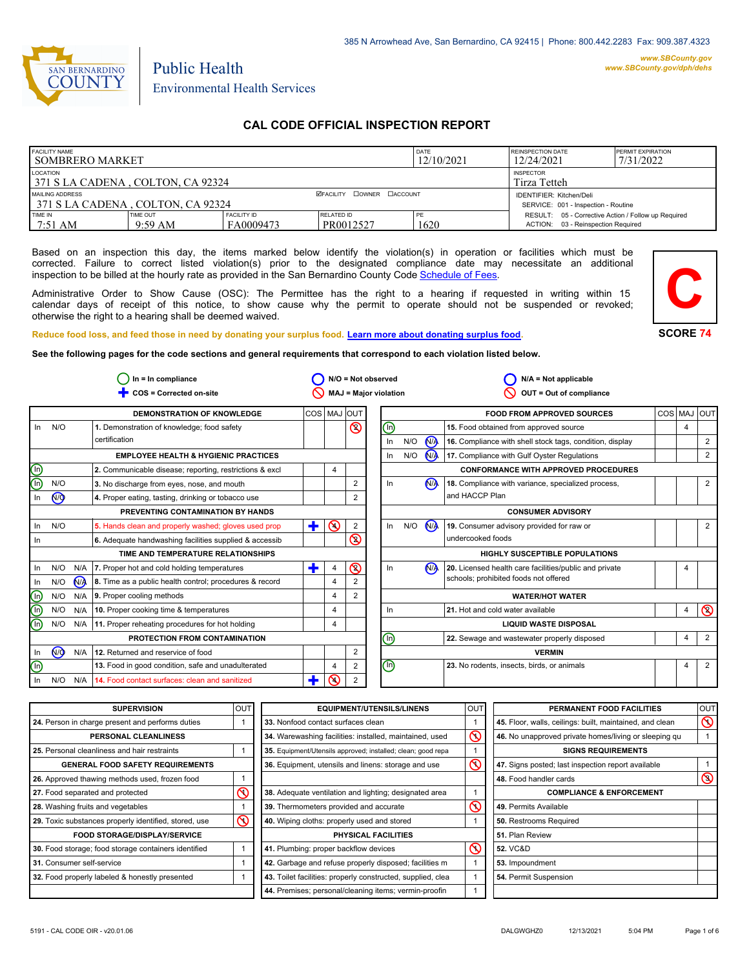

# Public Health Environmental Health Services

# **CAL CODE OFFICIAL INSPECTION REPORT**

| <b>FACILITY NAME</b><br>I SOMBRERO MARKET                                         |                               |                                 | DATE<br>12/10/2021               | <b>REINSPECTION DATE</b><br>12/24/2021 | <b>PERMIT EXPIRATION</b><br>7/31/2022                                                     |  |
|-----------------------------------------------------------------------------------|-------------------------------|---------------------------------|----------------------------------|----------------------------------------|-------------------------------------------------------------------------------------------|--|
| LOCATION<br><b>INSPECTOR</b><br>371 S LA CADENA, COLTON, CA 92324<br>Tirza Tetteh |                               |                                 |                                  |                                        |                                                                                           |  |
| MAILING ADDRESS<br>371 S LA CADENA, COLTON, CA 92324                              |                               |                                 | <b>ØFACILITY COWNER CACCOUNT</b> |                                        | <b>IDENTIFIER: Kitchen/Deli</b><br>SERVICE: 001 - Inspection - Routine                    |  |
| <b>TIME IN</b><br>$17:51 \text{ AM}$                                              | TIME OUT<br>$9:59 \text{ AM}$ | <b>FACILITY ID</b><br>FA0009473 | RELATED ID<br>PR0012527          | PF<br>1620                             | RESULT: 05 - Corrective Action / Follow up Required<br>ACTION: 03 - Reinspection Required |  |

Based on an inspection this day, the items marked below identify the violation(s) in operation or facilities which must be corrected. Failure to correct listed violation(s) prior to the designated compliance date may necessitate an additional inspection to be billed at the hourly rate as provided in the San Bernardino County Co[de Schedule of Fees.](https://codelibrary.amlegal.com/codes/sanbernardino/latest/sanberncty_ca/0-0-0-122474#JD_16.0213B)

Administrative Order to Show Cause (OSC): The Permittee has the right to a hearing if requested in writing within 15 calendar days of receipt of this notice, to show cause why the permit to operate should not be suspended or revoked; otherwise the right to a hearing shall be deemed waived.



#### **Reduce food loss, and feed those in need by donating your surplus f[ood. Learn more about donating surplus food.](https://wp.sbcounty.gov/dph/programs/ehs/charitable-food-service/)**

**See the following pages for the code sections and general requirements that correspond to each violation listed below.**

|                 |                |       | $In = In$ compliance                                    |   |                | $N/O = Not observed$  |    |     |                      | $N/A = Not applicable$                                   |            |   |                |
|-----------------|----------------|-------|---------------------------------------------------------|---|----------------|-----------------------|----|-----|----------------------|----------------------------------------------------------|------------|---|----------------|
|                 |                |       | COS = Corrected on-site                                 |   |                | MAJ = Major violation |    |     |                      | OUT = Out of compliance                                  |            |   |                |
|                 |                |       | <b>DEMONSTRATION OF KNOWLEDGE</b>                       |   |                | COS   MAJ   OUT       |    |     |                      | <b>FOOD FROM APPROVED SOURCES</b>                        | <b>COS</b> |   | MAJ OUT        |
| In.             | N/O            |       | 1. Demonstration of knowledge; food safety              |   |                | $\circledcirc$        | ⊕  |     |                      | 15. Food obtained from approved source                   |            | 4 |                |
|                 |                |       | certification                                           |   |                |                       | In | N/O | N <sub>A</sub>       | 16. Compliance with shell stock tags, condition, display |            |   | $\overline{2}$ |
|                 |                |       | <b>EMPLOYEE HEALTH &amp; HYGIENIC PRACTICES</b>         |   |                |                       | In | N/O | <b>N<sub>A</sub></b> | 17. Compliance with Gulf Oyster Regulations              |            |   | 2              |
| (U)             |                |       | 2. Communicable disease; reporting, restrictions & excl |   | 4              |                       |    |     |                      | <b>CONFORMANCE WITH APPROVED PROCEDURES</b>              |            |   |                |
| டு              | N/O            |       | 3. No discharge from eyes, nose, and mouth              |   |                | 2                     | In |     | N <sub>A</sub>       | 18. Compliance with variance, specialized process,       |            |   | $\overline{2}$ |
| In              | N <sub>O</sub> |       | 4. Proper eating, tasting, drinking or tobacco use      |   |                |                       |    |     |                      | and HACCP Plan                                           |            |   |                |
|                 |                |       | PREVENTING CONTAMINATION BY HANDS                       |   |                |                       |    |     |                      | <b>CONSUMER ADVISORY</b>                                 |            |   |                |
| ln.             | N/O            |       | 5. Hands clean and properly washed; gloves used prop    | ٠ | $\odot$        | 2                     | In | N/O | <b>N<sub>A</sub></b> | 19. Consumer advisory provided for raw or                |            |   | $\overline{2}$ |
| ln.             |                |       | 6. Adequate handwashing facilities supplied & accessib  |   |                | <u>ତ</u>              |    |     |                      | undercooked foods                                        |            |   |                |
|                 |                |       | TIME AND TEMPERATURE RELATIONSHIPS                      |   |                |                       |    |     |                      | <b>HIGHLY SUSCEPTIBLE POPULATIONS</b>                    |            |   |                |
| ln.             | N/O            | N/A   | 7. Proper hot and cold holding temperatures             | Ŧ |                | $\circledcirc$        | In |     | N <sub>A</sub>       | 20. Licensed health care facilities/public and private   |            | 4 |                |
| In.             | N/O            | $N_A$ | 8. Time as a public health control; procedures & record |   | 4              |                       |    |     |                      | schools; prohibited foods not offered                    |            |   |                |
| (n)             | N/O            | N/A   | 9. Proper cooling methods                               |   | $\overline{4}$ | $\overline{2}$        |    |     |                      | <b>WATER/HOT WATER</b>                                   |            |   |                |
| (n)             | N/O            | N/A   | 10. Proper cooking time & temperatures                  |   | $\overline{4}$ |                       | In |     |                      | 21. Hot and cold water available                         |            | 4 | $\circledcirc$ |
| (n)             | N/O            |       | N/A 11. Proper reheating procedures for hot holding     |   | 4              |                       |    |     |                      | <b>LIQUID WASTE DISPOSAL</b>                             |            |   |                |
|                 |                |       | PROTECTION FROM CONTAMINATION                           |   |                |                       | ⋒  |     |                      | 22. Sewage and wastewater properly disposed              |            | 4 | 2              |
| In              | N <sub>O</sub> | N/A   | 12. Returned and reservice of food                      |   |                | 2                     |    |     |                      | <b>VERMIN</b>                                            |            |   |                |
| $(\mathsf{In})$ |                |       | 13. Food in good condition, safe and unadulterated      |   | 4              | 2                     | ⊕  |     |                      | 23. No rodents, insects, birds, or animals               |            | 4 | 2              |
| In.             | N/O            | N/A   | 14. Food contact surfaces: clean and sanitized          | т | ര              | 2                     |    |     |                      |                                                          |            |   |                |

| <b>SUPERVISION</b>                                    | <b>OUT</b> | <b>EQUIPMENT/UTENSILS/LINENS</b>                             | OUT                     | PERMANENT FOOD FACILITIES                                | <b>OUT</b>     |
|-------------------------------------------------------|------------|--------------------------------------------------------------|-------------------------|----------------------------------------------------------|----------------|
| 24. Person in charge present and performs duties      |            | 33. Nonfood contact surfaces clean                           |                         | 45. Floor, walls, ceilings: built, maintained, and clean | $\circledcirc$ |
| <b>PERSONAL CLEANLINESS</b>                           |            | 34. Warewashing facilities: installed, maintained, used      | $\overline{\mathsf{O}}$ | 46. No unapproved private homes/living or sleeping gu    |                |
| 25. Personal cleanliness and hair restraints          |            | 35. Equipment/Utensils approved; installed; clean; good repa |                         | <b>SIGNS REQUIREMENTS</b>                                |                |
| <b>GENERAL FOOD SAFETY REQUIREMENTS</b>               |            | 36. Equipment, utensils and linens: storage and use          | $\overline{\circ}$      | 47. Signs posted; last inspection report available       |                |
| 26. Approved thawing methods used, frozen food        |            |                                                              |                         | 48. Food handler cards                                   | $\circledcirc$ |
| 27. Food separated and protected                      | ⋒          | 38. Adequate ventilation and lighting; designated area       |                         | <b>COMPLIANCE &amp; ENFORCEMENT</b>                      |                |
| 28. Washing fruits and vegetables                     |            | 39. Thermometers provided and accurate                       | $\overline{\mathsf{O}}$ | 49. Permits Available                                    |                |
| 29. Toxic substances properly identified, stored, use | $\infty$   | 40. Wiping cloths: properly used and stored                  |                         | 50. Restrooms Required                                   |                |
| <b>FOOD STORAGE/DISPLAY/SERVICE</b>                   |            | PHYSICAL FACILITIES                                          |                         | 51. Plan Review                                          |                |
| 30. Food storage; food storage containers identified  |            | 41. Plumbing: proper backflow devices                        | $\infty$                | <b>52. VC&amp;D</b>                                      |                |
| 31. Consumer self-service                             |            | 42. Garbage and refuse properly disposed; facilities m       |                         | 53. Impoundment                                          |                |
| 32. Food properly labeled & honestly presented        |            | 43. Toilet facilities: properly constructed, supplied, clea  |                         | 54. Permit Suspension                                    |                |
|                                                       |            | 44. Premises; personal/cleaning items; vermin-proofin        |                         |                                                          |                |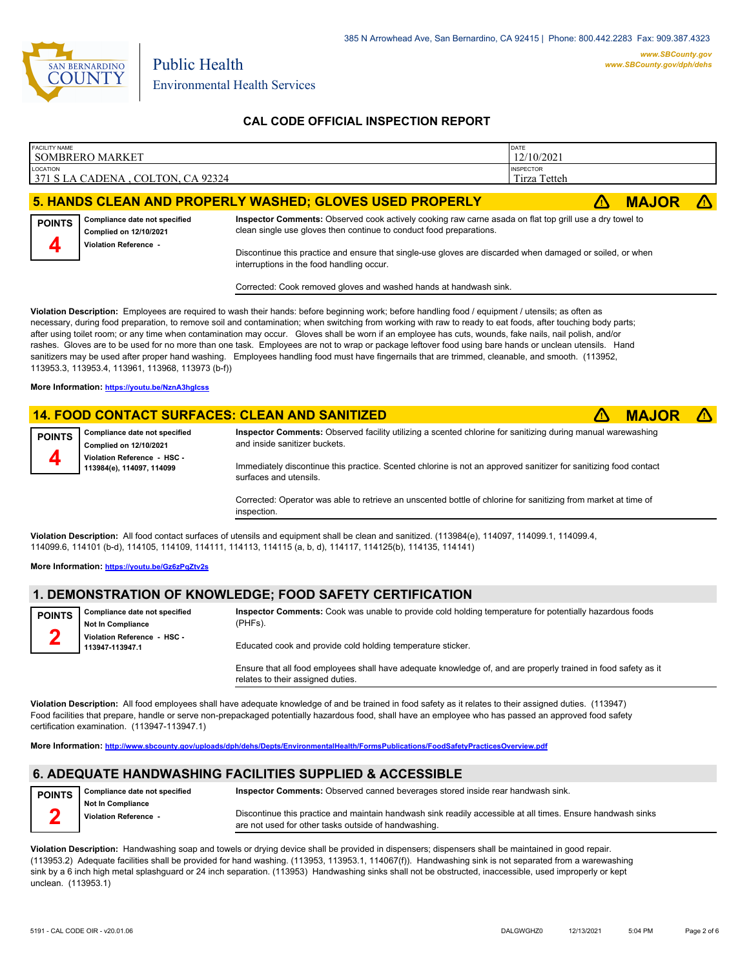

## **CAL CODE OFFICIAL INSPECTION REPORT**

| <b>FACILITY NAME</b> | <b>SOMBRERO MARKET</b>                                                                                                     |                                                                                                                                                                                                                                                                                                                                                                                                                                                                                                                                                                                                                                                                                                                                                                                               | DATE<br>12/10/2021               |              |            |
|----------------------|----------------------------------------------------------------------------------------------------------------------------|-----------------------------------------------------------------------------------------------------------------------------------------------------------------------------------------------------------------------------------------------------------------------------------------------------------------------------------------------------------------------------------------------------------------------------------------------------------------------------------------------------------------------------------------------------------------------------------------------------------------------------------------------------------------------------------------------------------------------------------------------------------------------------------------------|----------------------------------|--------------|------------|
| <b>LOCATION</b>      | 371 S LA CADENA, COLTON, CA 92324                                                                                          |                                                                                                                                                                                                                                                                                                                                                                                                                                                                                                                                                                                                                                                                                                                                                                                               | <b>INSPECTOR</b><br>Tirza Tetteh |              |            |
|                      |                                                                                                                            | 5. HANDS CLEAN AND PROPERLY WASHED; GLOVES USED PROPERLY                                                                                                                                                                                                                                                                                                                                                                                                                                                                                                                                                                                                                                                                                                                                      | /\                               | <b>MAJOR</b> | $\sqrt{N}$ |
| <b>POINTS</b>        | Compliance date not specified<br>Complied on 12/10/2021<br><b>Violation Reference -</b>                                    | Inspector Comments: Observed cook actively cooking raw carne asada on flat top grill use a dry towel to<br>clean single use gloves then continue to conduct food preparations.<br>Discontinue this practice and ensure that single-use gloves are discarded when damaged or soiled, or when<br>interruptions in the food handling occur.<br>Corrected: Cook removed gloves and washed hands at handwash sink.                                                                                                                                                                                                                                                                                                                                                                                 |                                  |              |            |
|                      | 113953.3, 113953.4, 113961, 113968, 113973 (b-f))<br>More Information: https://youtu.be/NznA3hglcss                        | Violation Description: Employees are required to wash their hands: before beginning work; before handling food / equipment / utensils; as often as<br>necessary, during food preparation, to remove soil and contamination; when switching from working with raw to ready to eat foods, after touching body parts;<br>after using toilet room; or any time when contamination may occur. Gloves shall be worn if an employee has cuts, wounds, fake nails, nail polish, and/or<br>rashes. Gloves are to be used for no more than one task. Employees are not to wrap or package leftover food using bare hands or unclean utensils. Hand<br>sanitizers may be used after proper hand washing. Employees handling food must have fingernails that are trimmed, cleanable, and smooth. (113952, |                                  |              |            |
|                      |                                                                                                                            | <b>14. FOOD CONTACT SURFACES: CLEAN AND SANITIZED</b>                                                                                                                                                                                                                                                                                                                                                                                                                                                                                                                                                                                                                                                                                                                                         | /\                               | <b>MAJOR</b> |            |
| <b>POINTS</b>        | Compliance date not specified<br><b>Complied on 12/10/2021</b><br>Violation Reference - HSC -<br>113984(e), 114097, 114099 | Inspector Comments: Observed facility utilizing a scented chlorine for sanitizing during manual warewashing<br>and inside sanitizer buckets.<br>Immediately discontinue this practice. Scented chlorine is not an approved sanitizer for sanitizing food contact<br>surfaces and utensils.<br>Corrected: Operator was able to retrieve an unscented bottle of chlorine for sanitizing from market at time of                                                                                                                                                                                                                                                                                                                                                                                  |                                  |              |            |

**Violation Description:** All food contact surfaces of utensils and equipment shall be clean and sanitized. (113984(e), 114097, 114099.1, 114099.4, 114099.6, 114101 (b-d), 114105, 114109, 114111, 114113, 114115 (a, b, d), 114117, 114125(b), 114135, 114141)

**More Information: <https://youtu.be/Gz6zPqZtv2s>**

#### **1. DEMONSTRATION OF KNOWLEDGE; FOOD SAFETY CERTIFICATION**

inspection.

| <b>POINTS</b> | Compliance date not specified<br><b>Not In Compliance</b> | Inspector Comments: Cook was unable to provide cold holding temperature for potentially hazardous foods<br>(PHFs). |
|---------------|-----------------------------------------------------------|--------------------------------------------------------------------------------------------------------------------|
|               | Violation Reference - HSC -<br>113947-113947.1            | Educated cook and provide cold holding temperature sticker.                                                        |

Ensure that all food employees shall have adequate knowledge of, and are properly trained in food safety as it relates to their assigned duties.

**Violation Description:** All food employees shall have adequate knowledge of and be trained in food safety as it relates to their assigned duties. (113947) Food facilities that prepare, handle or serve non-prepackaged potentially hazardous food, shall have an employee who has passed an approved food safety certification examination. (113947-113947.1)

**More Information: <http://www.sbcounty.gov/uploads/dph/dehs/Depts/EnvironmentalHealth/FormsPublications/FoodSafetyPracticesOverview.pdf>**

# **6. ADEQUATE HANDWASHING FACILITIES SUPPLIED & ACCESSIBLE**

| <b>POINTS</b> | Compliance date not specified | <b>Inspector Comments:</b> Observed canned beverages stored inside rear handwash sink.                      |
|---------------|-------------------------------|-------------------------------------------------------------------------------------------------------------|
|               | Not In Compliance             |                                                                                                             |
|               | Violation Reference -         | Discontinue this practice and maintain handwash sink readily accessible at all times. Ensure handwash sinks |
|               |                               | are not used for other tasks outside of handwashing.                                                        |

**Violation Description:** Handwashing soap and towels or drying device shall be provided in dispensers; dispensers shall be maintained in good repair. (113953.2) Adequate facilities shall be provided for hand washing. (113953, 113953.1, 114067(f)). Handwashing sink is not separated from a warewashing sink by a 6 inch high metal splashguard or 24 inch separation. (113953) Handwashing sinks shall not be obstructed, inaccessible, used improperly or kept unclean. (113953.1)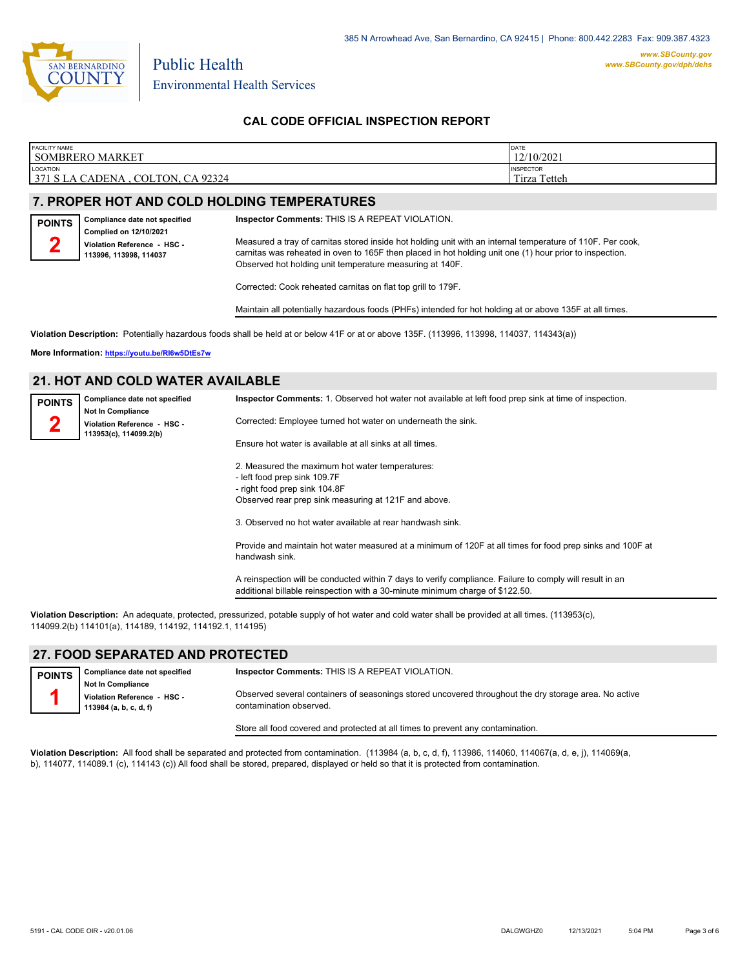

### **CAL CODE OFFICIAL INSPECTION REPORT**

| <b>FACILITY NAME</b>                                                                          | DATE                                    |
|-----------------------------------------------------------------------------------------------|-----------------------------------------|
| SOMBRERO MARKET                                                                               | 12/10/2021                              |
| LOCATION<br>371 S LA C<br>92324 ہ<br><b>CA</b><br><b>COLTON</b><br>$\triangle$ ADENA $\hat{}$ | <b>INSPECTOR</b><br>Tirza Tetteh<br>$-$ |

## **7. PROPER HOT AND COLD HOLDING TEMPERATURES**

Public Health

| <b>POINTS</b> | Compliance date not specified                         |
|---------------|-------------------------------------------------------|
|               | <b>Complied on 12/10/2021</b>                         |
|               | Violation Reference - HSC -<br>113996, 113998, 114037 |
|               |                                                       |

Measured a tray of carnitas stored inside hot holding unit with an internal temperature of 110F. Per cook, carnitas was reheated in oven to 165F then placed in hot holding unit one (1) hour prior to inspection. Observed hot holding unit temperature measuring at 140F.

Corrected: Cook reheated carnitas on flat top grill to 179F.

**Inspector Comments:** THIS IS A REPEAT VIOLATION.

Maintain all potentially hazardous foods (PHFs) intended for hot holding at or above 135F at all times.

**Violation Description:** Potentially hazardous foods shall be held at or below 41F or at or above 135F. (113996, 113998, 114037, 114343(a))

**More Information: <https://youtu.be/RI6w5DtEs7w>**

#### **21. HOT AND COLD WATER AVAILABLE**

| <b>POINTS</b> | Compliance date not specified                                                     | Inspector Comments: 1. Observed hot water not available at left food prep sink at time of inspection.                                                                                     |
|---------------|-----------------------------------------------------------------------------------|-------------------------------------------------------------------------------------------------------------------------------------------------------------------------------------------|
|               | <b>Not In Compliance</b><br>Violation Reference - HSC -<br>113953(c), 114099.2(b) | Corrected: Employee turned hot water on underneath the sink.                                                                                                                              |
|               |                                                                                   | Ensure hot water is available at all sinks at all times.                                                                                                                                  |
|               |                                                                                   | 2. Measured the maximum hot water temperatures:<br>- left food prep sink 109.7F                                                                                                           |
|               |                                                                                   | - right food prep sink 104.8F<br>Observed rear prep sink measuring at 121F and above.                                                                                                     |
|               |                                                                                   | 3. Observed no hot water available at rear handwash sink.                                                                                                                                 |
|               |                                                                                   | Provide and maintain hot water measured at a minimum of 120F at all times for food prep sinks and 100F at<br>handwash sink.                                                               |
|               |                                                                                   | A reinspection will be conducted within 7 days to verify compliance. Failure to comply will result in an<br>additional billable reinspection with a 30-minute minimum charge of \$122.50. |

**Violation Description:** An adequate, protected, pressurized, potable supply of hot water and cold water shall be provided at all times. (113953(c), 114099.2(b) 114101(a), 114189, 114192, 114192.1, 114195)

### **27. FOOD SEPARATED AND PROTECTED**

| <b>POINTS</b> | Compliance date not specified | Inspector Comments: THIS IS A REPEAT VIOLATION.                                                                                  |
|---------------|-------------------------------|----------------------------------------------------------------------------------------------------------------------------------|
|               | <b>Not In Compliance</b>      |                                                                                                                                  |
|               | Violation Reference - HSC -   | Observed several containers of seasonings stored uncovered throughout the dry storage area. No active<br>contamination observed. |
|               | 113984 (a, b, c, d, f)        |                                                                                                                                  |
|               |                               |                                                                                                                                  |

Store all food covered and protected at all times to prevent any contamination.

**Violation Description:** All food shall be separated and protected from contamination. (113984 (a, b, c, d, f), 113986, 114060, 114067(a, d, e, j), 114069(a, b), 114077, 114089.1 (c), 114143 (c)) All food shall be stored, prepared, displayed or held so that it is protected from contamination.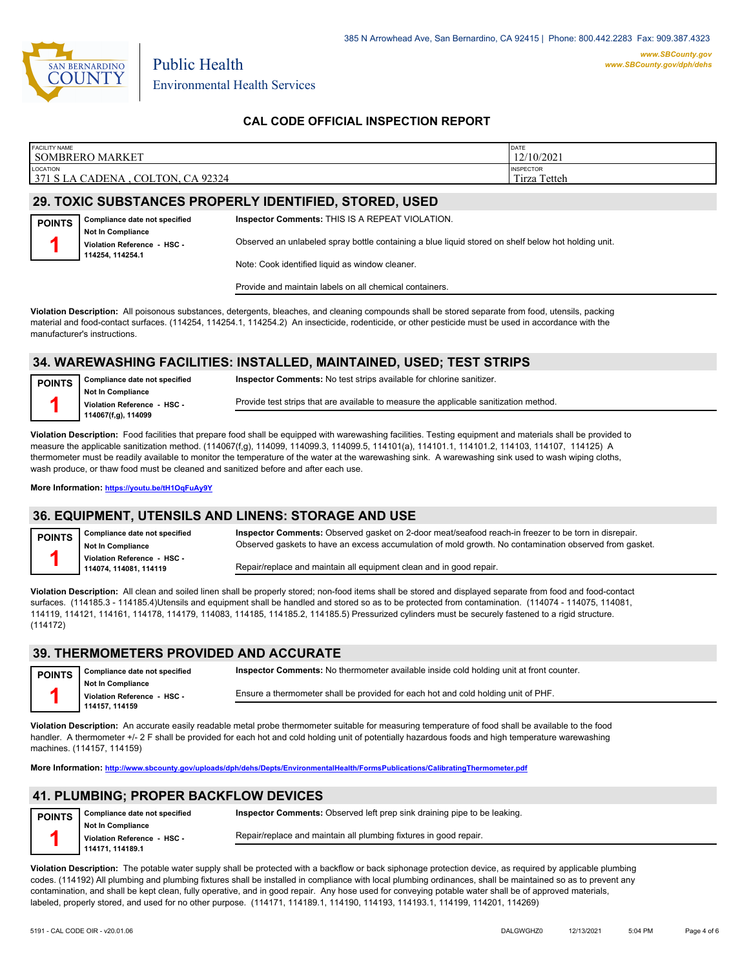

Public Health

## **CAL CODE OFFICIAL INSPECTION REPORT**

| <b>FACILITY NAME</b><br>SOMBRERO MARKET                                 | DATE<br>12/10/2021                        |
|-------------------------------------------------------------------------|-------------------------------------------|
| <b>LOCATION</b><br>371 S<br>CA 92324<br>COLTON.<br><b>CADENA</b> .<br>Δ | <b>INSPECTOR</b><br>Tetteh<br>m.<br>Tirza |
|                                                                         |                                           |

# **29. TOXIC SUBSTANCES PROPERLY IDENTIFIED, STORED, USED**

| <b>POINTS</b>   | Compliance date not specified | Inspector Comments: THIS IS A REPEAT VIOLATION.                                                     |
|-----------------|-------------------------------|-----------------------------------------------------------------------------------------------------|
|                 | <b>Not In Compliance</b>      |                                                                                                     |
|                 | Violation Reference - HSC -   | Observed an unlabeled spray bottle containing a blue liquid stored on shelf below hot holding unit. |
| 114254.114254.1 |                               |                                                                                                     |
|                 |                               | Note: Cook identified liquid as window cleaner.                                                     |

Provide and maintain labels on all chemical containers.

**Violation Description:** All poisonous substances, detergents, bleaches, and cleaning compounds shall be stored separate from food, utensils, packing material and food-contact surfaces. (114254, 114254.1, 114254.2) An insecticide, rodenticide, or other pesticide must be used in accordance with the manufacturer's instructions.

### **34. WAREWASHING FACILITIES: INSTALLED, MAINTAINED, USED; TEST STRIPS**

| <b>POINTS</b> | Compliance date not specified                           | <b>Inspector Comments:</b> No test strips available for chlorine sanitizer.           |
|---------------|---------------------------------------------------------|---------------------------------------------------------------------------------------|
|               | <b>Not In Compliance</b><br>Violation Reference - HSC - | Provide test strips that are available to measure the applicable sanitization method. |
|               | 114067(f,g), 114099                                     |                                                                                       |

**Violation Description:** Food facilities that prepare food shall be equipped with warewashing facilities. Testing equipment and materials shall be provided to measure the applicable sanitization method. (114067(f,g), 114099, 114099.3, 114099.5, 114101(a), 114101.1, 114101.2, 114103, 114107, 114125) A thermometer must be readily available to monitor the temperature of the water at the warewashing sink. A warewashing sink used to wash wiping cloths, wash produce, or thaw food must be cleaned and sanitized before and after each use.

**More Information: <https://youtu.be/tH1OqFuAy9Y>**

#### **36. EQUIPMENT, UTENSILS AND LINENS: STORAGE AND USE**

**Compliance date not specified Not In Compliance Violation Reference - HSC - 114074, 114081, 114119 POINTS 1 Inspector Comments:** Observed gasket on 2-door meat/seafood reach-in freezer to be torn in disrepair. Observed gaskets to have an excess accumulation of mold growth. No contamination observed from gasket. Repair/replace and maintain all equipment clean and in good repair.

**Violation Description:** All clean and soiled linen shall be properly stored; non-food items shall be stored and displayed separate from food and food-contact surfaces. (114185.3 - 114185.4)Utensils and equipment shall be handled and stored so as to be protected from contamination. (114074 - 114075, 114081, 114119, 114121, 114161, 114178, 114179, 114083, 114185, 114185.2, 114185.5) Pressurized cylinders must be securely fastened to a rigid structure. (114172)

#### **39. THERMOMETERS PROVIDED AND ACCURATE**

| <b>POINTS</b> | Compliance date not specified                | Inspector Comments: No thermometer available inside cold holding unit at front counter.<br>Ensure a thermometer shall be provided for each hot and cold holding unit of PHF. |  |
|---------------|----------------------------------------------|------------------------------------------------------------------------------------------------------------------------------------------------------------------------------|--|
|               | <b>Not In Compliance</b>                     |                                                                                                                                                                              |  |
|               | Violation Reference - HSC -<br>114157.114159 |                                                                                                                                                                              |  |
|               |                                              |                                                                                                                                                                              |  |
|               |                                              |                                                                                                                                                                              |  |

**Violation Description:** An accurate easily readable metal probe thermometer suitable for measuring temperature of food shall be available to the food handler. A thermometer +/- 2 F shall be provided for each hot and cold holding unit of potentially hazardous foods and high temperature warewashing machines. (114157, 114159)

**More Information: <http://www.sbcounty.gov/uploads/dph/dehs/Depts/EnvironmentalHealth/FormsPublications/CalibratingThermometer.pdf>**

# **41. PLUMBING; PROPER BACKFLOW DEVICES**

| <b>POINTS</b> | Compliance date not specified | <b>Inspector Comments:</b> Observed left prep sink draining pipe to be leaking. |
|---------------|-------------------------------|---------------------------------------------------------------------------------|
|               | <b>Not In Compliance</b>      |                                                                                 |
|               | Violation Reference HSC       | Repair/replace and maintain all plumbing fixtures in good repair.               |
|               | 114171, 114189.1              |                                                                                 |

**Violation Description:** The potable water supply shall be protected with a backflow or back siphonage protection device, as required by applicable plumbing codes. (114192) All plumbing and plumbing fixtures shall be installed in compliance with local plumbing ordinances, shall be maintained so as to prevent any contamination, and shall be kept clean, fully operative, and in good repair. Any hose used for conveying potable water shall be of approved materials, labeled, properly stored, and used for no other purpose. (114171, 114189.1, 114190, 114193, 114193.1, 114199, 114201, 114269)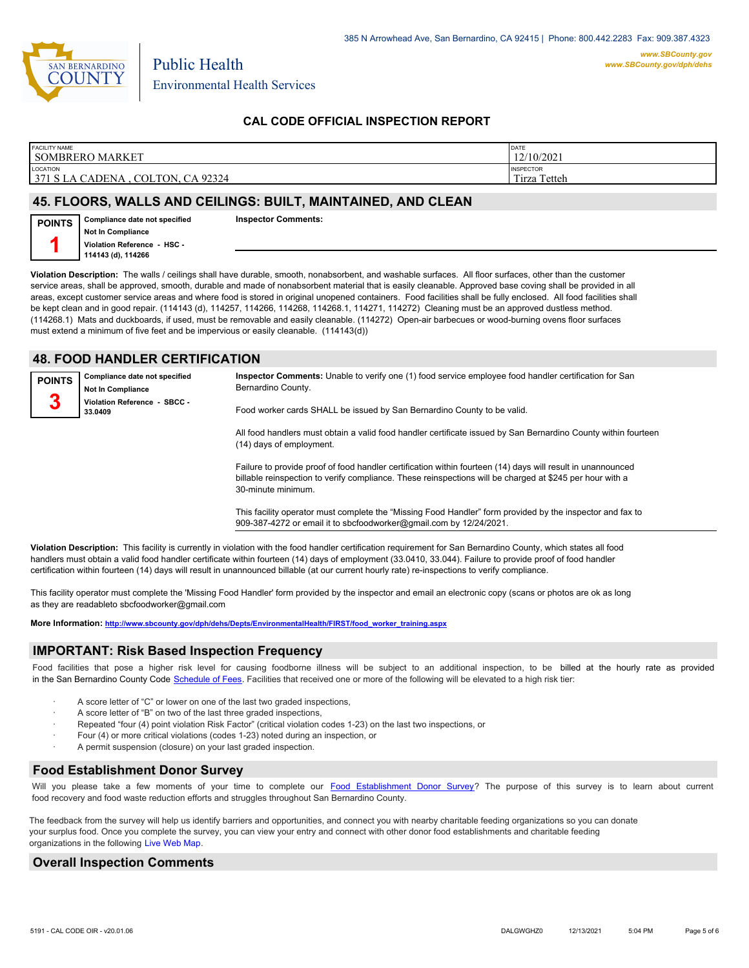

Public Health

## **CAL CODE OFFICIAL INSPECTION REPORT**

| <b>FACILITY NAME</b>   | DATE             |
|------------------------|------------------|
| <b>SOMBRERO MARKET</b> | 12/10/2021       |
| LOCATION               | <b>INSPECTOR</b> |
| 371 S LA CADENA        | Tetteh           |
| CA 92324               | m.               |
| COLTON.                | Tirza            |

### **45. FLOORS, WALLS AND CEILINGS: BUILT, MAINTAINED, AND CLEAN**

**Compliance date not specified Not In Compliance Violation Reference - HSC - 114143 (d), 114266 POINTS 1**

**Inspector Comments:** 

**Violation Description:** The walls / ceilings shall have durable, smooth, nonabsorbent, and washable surfaces. All floor surfaces, other than the customer service areas, shall be approved, smooth, durable and made of nonabsorbent material that is easily cleanable. Approved base coving shall be provided in all areas, except customer service areas and where food is stored in original unopened containers. Food facilities shall be fully enclosed. All food facilities shall be kept clean and in good repair. (114143 (d), 114257, 114266, 114268, 114268.1, 114271, 114272) Cleaning must be an approved dustless method. (114268.1) Mats and duckboards, if used, must be removable and easily cleanable. (114272) Open-air barbecues or wood-burning ovens floor surfaces must extend a minimum of five feet and be impervious or easily cleanable. (114143(d))

#### **48. FOOD HANDLER CERTIFICATION**

**Compliance date not specified Not In Compliance Violation Reference - SBCC - 33.0409 POINTS 3**

**Inspector Comments:** Unable to verify one (1) food service employee food handler certification for San Bernardino County.

Food worker cards SHALL be issued by San Bernardino County to be valid.

All food handlers must obtain a valid food handler certificate issued by San Bernardino County within fourteen (14) days of employment.

Failure to provide proof of food handler certification within fourteen (14) days will result in unannounced billable reinspection to verify compliance. These reinspections will be charged at \$245 per hour with a 30-minute minimum.

This facility operator must complete the "Missing Food Handler" form provided by the inspector and fax to 909-387-4272 or email it to sbcfoodworker@gmail.com by 12/24/2021.

**Violation Description:** This facility is currently in violation with the food handler certification requirement for San Bernardino County, which states all food handlers must obtain a valid food handler certificate within fourteen (14) days of employment (33.0410, 33.044). Failure to provide proof of food handler certification within fourteen (14) days will result in unannounced billable (at our current hourly rate) re-inspections to verify compliance.

This facility operator must complete the 'Missing Food Handler' form provided by the inspector and email an electronic copy (scans or photos are ok as long as they are readableto sbcfoodworker@gmail.com

**More Information: [http://www.sbcounty.gov/dph/dehs/Depts/EnvironmentalHealth/FIRST/food\\_worker\\_training.aspx](http://www.sbcounty.gov/dph/dehs/Depts/EnvironmentalHealth/FIRST/food_worker_training.aspx)**

### **IMPORTANT: Risk Based Inspection Frequency**

Food facilities that pose a higher risk level for causing foodborne illness will be subject to an additional inspection, to be billed at the hourly rate as provided in the San Bernardino Count[y Code Schedule of Fees. Facilitie](https://codelibrary.amlegal.com/codes/sanbernardino/latest/sanberncty_ca/0-0-0-122474#JD_16.0213B)s that received one or more of the following will be elevated to a high risk tier:

- A score letter of "C" or lower on one of the last two graded inspections,
- A score letter of "B" on two of the last three graded inspections,
- Repeated "four (4) point violation Risk Factor" (critical violation codes 1-23) on the last two inspections, or
- Four (4) or more critical violations (codes 1-23) noted during an inspection, or
- A permit suspension (closure) on your last graded inspection.

# **Food Establishment Donor Survey**

Will you please take a few moments of your time to complete our **Food Establishment Donor Survey?** The purpose of this survey is to learn about current food recovery and food waste reduction efforts and struggles throughout San Bernardino County.

The feedback from the survey will help us identify barriers and opportunities, and connect you with nearby charitable feeding organizations so you can donate your surplus food. Once you complete the survey, you can view your entry and connect with other donor food establishments and charitable feeding organizations in the fol[lowing Live Web Map.](https://arcg.is/WvjGb)

### **Overall Inspection Comments**